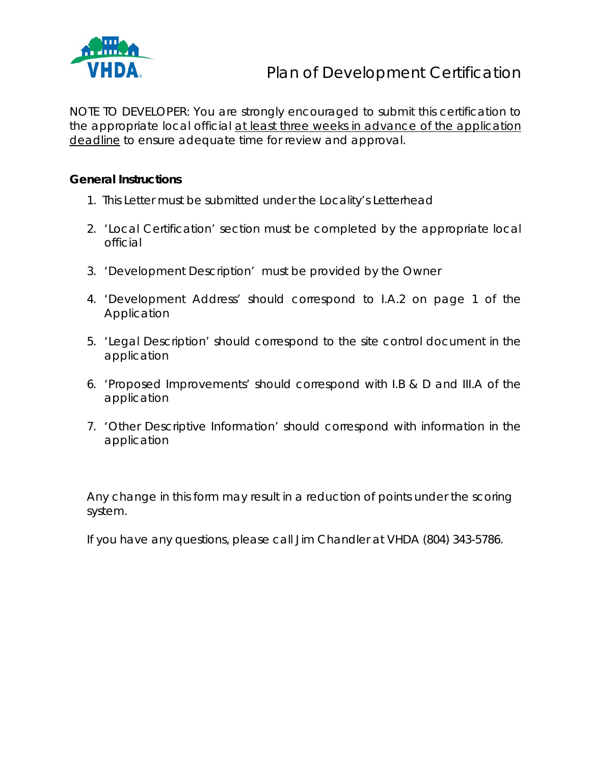

NOTE TO DEVELOPER: You are strongly encouraged to submit this certification to the appropriate local official at least three weeks in advance of the application deadline to ensure adequate time for review and approval.

# **General Instructions**

- 1. This Letter must be submitted under the Locality's Letterhead
- 2. 'Local Certification' section must be completed by the appropriate local official
- 3. 'Development Description' must be provided by the Owner
- 4. 'Development Address' should correspond to I.A.2 on page 1 of the Application
- 5. 'Legal Description' should correspond to the site control document in the application
- 6. 'Proposed Improvements' should correspond with I.B & D and III.A of the application
- 7. 'Other Descriptive Information' should correspond with information in the application

Any change in this form may result in a reduction of points under the scoring system.

If you have any questions, please call Jim Chandler at VHDA (804) 343-5786.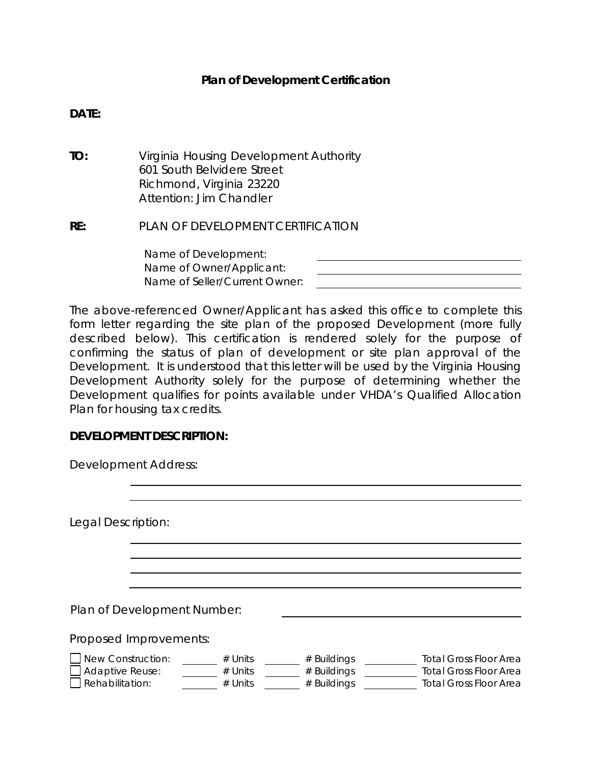### **Plan of Development Certification**

### **DATE:**

**TO:** Virginia Housing Development Authority 601 South Belvidere Street Richmond, Virginia 23220 Attention: Jim Chandler

### **RE:** PLAN OF DEVELOPMENT CERTIFICATION

Name of Development: Name of Owner/Applicant: Name of Seller/Current Owner:

The above-referenced Owner/Applicant has asked this office to complete this form letter regarding the site plan of the proposed Development (more fully described below). This certification is rendered solely for the purpose of confirming the status of plan of development or site plan approval of the Development. It is understood that this letter will be used by the Virginia Housing Development Authority solely for the purpose of determining whether the Development qualifies for points available under VHDA's Qualified Allocation Plan for housing tax credits.

### **DEVELOPMENT DESCRIPTION:**

| <b>Development Address:</b>                                    |                                     |                                             |                                                                                                 |
|----------------------------------------------------------------|-------------------------------------|---------------------------------------------|-------------------------------------------------------------------------------------------------|
| Legal Description:                                             |                                     |                                             |                                                                                                 |
|                                                                |                                     |                                             |                                                                                                 |
| Plan of Development Number:                                    |                                     |                                             |                                                                                                 |
| Proposed Improvements:                                         |                                     |                                             |                                                                                                 |
| New Construction:<br><b>Adaptive Reuse:</b><br>Rehabilitation: | $#$ Units<br>$#$ Units<br>$#$ Units | $#$ Buildings<br># Buildings<br># Buildings | <b>Total Gross Floor Area</b><br><b>Total Gross Floor Area</b><br><b>Total Gross Floor Area</b> |